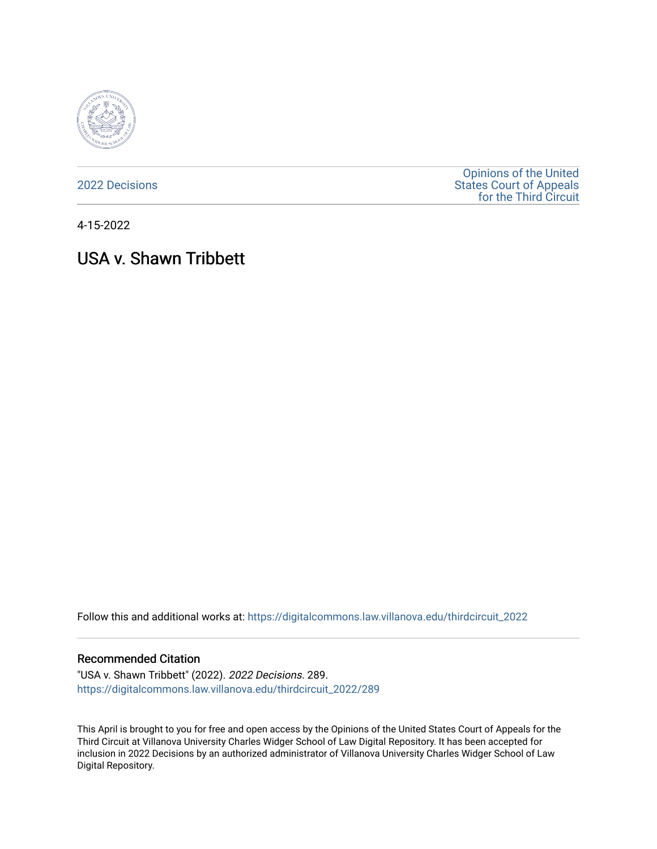

[2022 Decisions](https://digitalcommons.law.villanova.edu/thirdcircuit_2022)

[Opinions of the United](https://digitalcommons.law.villanova.edu/thirdcircuit)  [States Court of Appeals](https://digitalcommons.law.villanova.edu/thirdcircuit)  [for the Third Circuit](https://digitalcommons.law.villanova.edu/thirdcircuit) 

4-15-2022

# USA v. Shawn Tribbett

Follow this and additional works at: [https://digitalcommons.law.villanova.edu/thirdcircuit\\_2022](https://digitalcommons.law.villanova.edu/thirdcircuit_2022?utm_source=digitalcommons.law.villanova.edu%2Fthirdcircuit_2022%2F289&utm_medium=PDF&utm_campaign=PDFCoverPages) 

#### Recommended Citation

"USA v. Shawn Tribbett" (2022). 2022 Decisions. 289. [https://digitalcommons.law.villanova.edu/thirdcircuit\\_2022/289](https://digitalcommons.law.villanova.edu/thirdcircuit_2022/289?utm_source=digitalcommons.law.villanova.edu%2Fthirdcircuit_2022%2F289&utm_medium=PDF&utm_campaign=PDFCoverPages)

This April is brought to you for free and open access by the Opinions of the United States Court of Appeals for the Third Circuit at Villanova University Charles Widger School of Law Digital Repository. It has been accepted for inclusion in 2022 Decisions by an authorized administrator of Villanova University Charles Widger School of Law Digital Repository.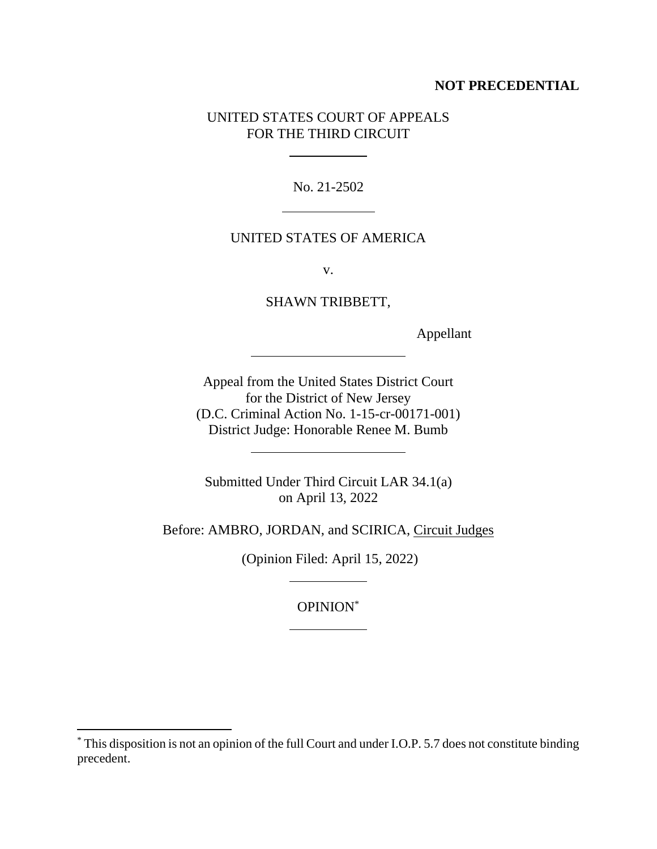### **NOT PRECEDENTIAL**

## UNITED STATES COURT OF APPEALS FOR THE THIRD CIRCUIT

No. 21-2502

## UNITED STATES OF AMERICA

v.

SHAWN TRIBBETT,

Appellant

Appeal from the United States District Court for the District of New Jersey (D.C. Criminal Action No. 1-15-cr-00171-001) District Judge: Honorable Renee M. Bumb

Submitted Under Third Circuit LAR 34.1(a) on April 13, 2022

Before: AMBRO, JORDAN, and SCIRICA, Circuit Judges

(Opinion Filed: April 15, 2022)

OPINION\*

l,

<sup>\*</sup> This disposition is not an opinion of the full Court and under I.O.P. 5.7 does not constitute binding precedent.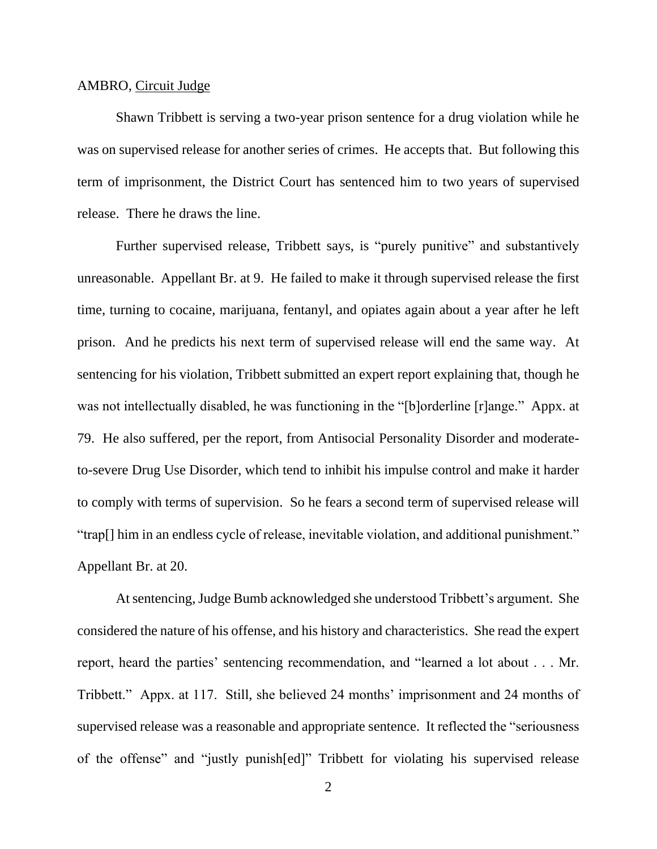#### AMBRO, Circuit Judge

Shawn Tribbett is serving a two-year prison sentence for a drug violation while he was on supervised release for another series of crimes. He accepts that. But following this term of imprisonment, the District Court has sentenced him to two years of supervised release. There he draws the line.

Further supervised release, Tribbett says, is "purely punitive" and substantively unreasonable. Appellant Br. at 9. He failed to make it through supervised release the first time, turning to cocaine, marijuana, fentanyl, and opiates again about a year after he left prison. And he predicts his next term of supervised release will end the same way. At sentencing for his violation, Tribbett submitted an expert report explaining that, though he was not intellectually disabled, he was functioning in the "[b]orderline [r]ange." Appx. at 79. He also suffered, per the report, from Antisocial Personality Disorder and moderateto-severe Drug Use Disorder, which tend to inhibit his impulse control and make it harder to comply with terms of supervision. So he fears a second term of supervised release will "trap[] him in an endless cycle of release, inevitable violation, and additional punishment." Appellant Br. at 20.

At sentencing, Judge Bumb acknowledged she understood Tribbett's argument. She considered the nature of his offense, and his history and characteristics. She read the expert report, heard the parties' sentencing recommendation, and "learned a lot about . . . Mr. Tribbett." Appx. at 117. Still, she believed 24 months' imprisonment and 24 months of supervised release was a reasonable and appropriate sentence. It reflected the "seriousness of the offense" and "justly punish[ed]" Tribbett for violating his supervised release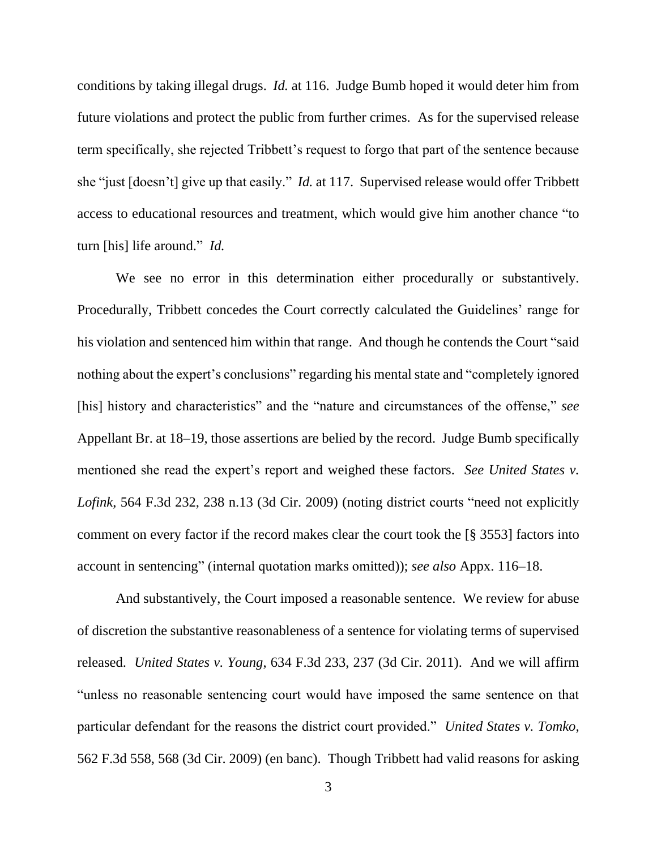conditions by taking illegal drugs. *Id.* at 116. Judge Bumb hoped it would deter him from future violations and protect the public from further crimes. As for the supervised release term specifically, she rejected Tribbett's request to forgo that part of the sentence because she "just [doesn't] give up that easily." *Id.* at 117. Supervised release would offer Tribbett access to educational resources and treatment, which would give him another chance "to turn [his] life around." *Id.*

We see no error in this determination either procedurally or substantively. Procedurally, Tribbett concedes the Court correctly calculated the Guidelines' range for his violation and sentenced him within that range. And though he contends the Court "said nothing about the expert's conclusions" regarding his mental state and "completely ignored [his] history and characteristics" and the "nature and circumstances of the offense," *see*  Appellant Br. at 18–19, those assertions are belied by the record. Judge Bumb specifically mentioned she read the expert's report and weighed these factors. *See United States v. Lofink*, 564 F.3d 232, 238 n.13 (3d Cir. 2009) (noting district courts "need not explicitly comment on every factor if the record makes clear the court took the [§ 3553] factors into account in sentencing" (internal quotation marks omitted)); *see also* Appx. 116–18.

And substantively, the Court imposed a reasonable sentence. We review for abuse of discretion the substantive reasonableness of a sentence for violating terms of supervised released. *United States v. Young*, 634 F.3d 233, 237 (3d Cir. 2011). And we will affirm "unless no reasonable sentencing court would have imposed the same sentence on that particular defendant for the reasons the district court provided." *United States v. Tomko*, 562 F.3d 558, 568 (3d Cir. 2009) (en banc). Though Tribbett had valid reasons for asking